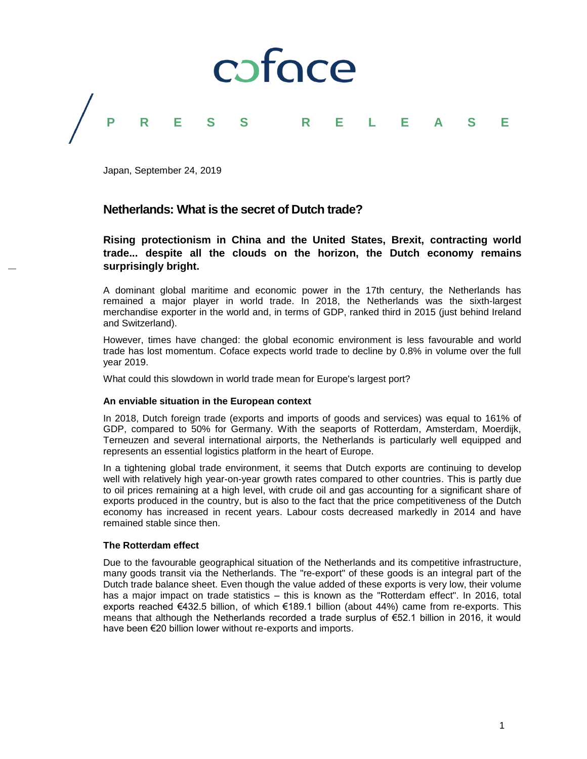

Japan, September 24, 2019

# **Netherlands: What is the secret of Dutch trade?**

**Rising protectionism in China and the United States, Brexit, contracting world trade... despite all the clouds on the horizon, the Dutch economy remains surprisingly bright.**

A dominant global maritime and economic power in the 17th century, the Netherlands has remained a major player in world trade. In 2018, the Netherlands was the sixth-largest merchandise exporter in the world and, in terms of GDP, ranked third in 2015 (just behind Ireland and Switzerland).

However, times have changed: the global economic environment is less favourable and world trade has lost momentum. Coface expects world trade to decline by 0.8% in volume over the full year 2019.

What could this slowdown in world trade mean for Europe's largest port?

# **An enviable situation in the European context**

In 2018, Dutch foreign trade (exports and imports of goods and services) was equal to 161% of GDP, compared to 50% for Germany. With the seaports of Rotterdam, Amsterdam, Moerdijk, Terneuzen and several international airports, the Netherlands is particularly well equipped and represents an essential logistics platform in the heart of Europe.

In a tightening global trade environment, it seems that Dutch exports are continuing to develop well with relatively high year-on-year growth rates compared to other countries. This is partly due to oil prices remaining at a high level, with crude oil and gas accounting for a significant share of exports produced in the country, but is also to the fact that the price competitiveness of the Dutch economy has increased in recent years. Labour costs decreased markedly in 2014 and have remained stable since then.

# **The Rotterdam effect**

Due to the favourable geographical situation of the Netherlands and its competitive infrastructure, many goods transit via the Netherlands. The "re-export" of these goods is an integral part of the Dutch trade balance sheet. Even though the value added of these exports is very low, their volume has a major impact on trade statistics – this is known as the "Rotterdam effect". In 2016, total exports reached €432.5 billion, of which €189.1 billion (about 44%) came from re-exports. This means that although the Netherlands recorded a trade surplus of €52.1 billion in 2016, it would have been €20 billion lower without re-exports and imports.